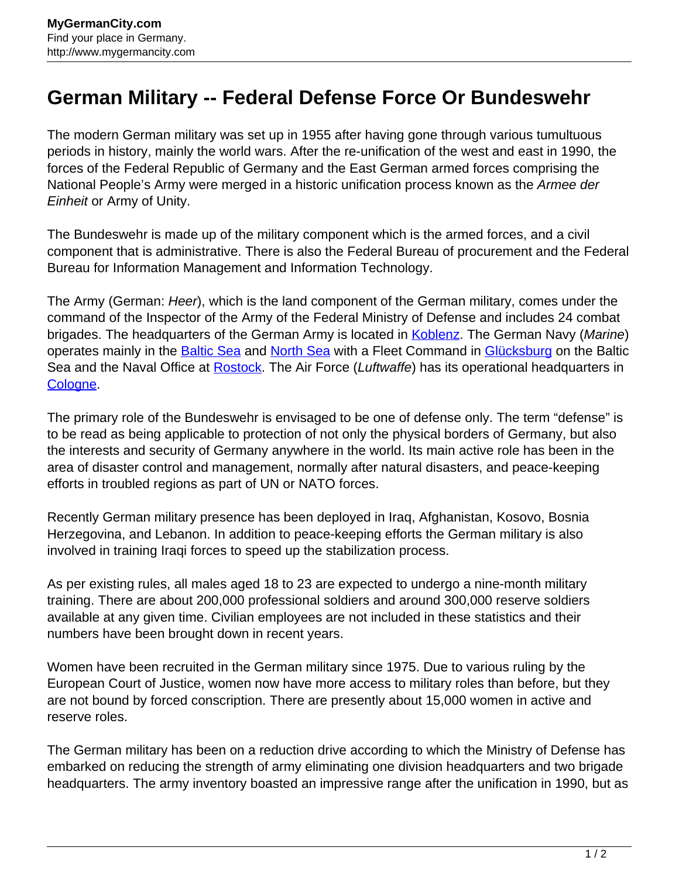## **German Military -- Federal Defense Force Or Bundeswehr**

The modern German military was set up in 1955 after having gone through various tumultuous periods in history, mainly the world wars. After the re-unification of the west and east in 1990, the forces of the Federal Republic of Germany and the East German armed forces comprising the National People's Army were merged in a historic unification process known as the Armee der Einheit or Army of Unity.

The Bundeswehr is made up of the military component which is the armed forces, and a civil component that is administrative. There is also the Federal Bureau of procurement and the Federal Bureau for Information Management and Information Technology.

The Army (German: Heer), which is the land component of the German military, comes under the command of the Inspector of the Army of the Federal Ministry of Defense and includes 24 combat brigades. The headquarters of the German Army is located in [Koblenz.](http://www.mygermancity.com/koblenz) The German Navy (Marine) operates mainly in the **Baltic Sea** and **North Sea** with a Fleet Command in **Glücksburg** on the Baltic Sea and the Naval Office at **Rostock**. The Air Force (Luftwaffe) has its operational headquarters in [Cologne](http://www.mygermancity.com/cologne).

The primary role of the Bundeswehr is envisaged to be one of defense only. The term "defense" is to be read as being applicable to protection of not only the physical borders of Germany, but also the interests and security of Germany anywhere in the world. Its main active role has been in the area of disaster control and management, normally after natural disasters, and peace-keeping efforts in troubled regions as part of UN or NATO forces.

Recently German military presence has been deployed in Iraq, Afghanistan, Kosovo, Bosnia Herzegovina, and Lebanon. In addition to peace-keeping efforts the German military is also involved in training Iraqi forces to speed up the stabilization process.

As per existing rules, all males aged 18 to 23 are expected to undergo a nine-month military training. There are about 200,000 professional soldiers and around 300,000 reserve soldiers available at any given time. Civilian employees are not included in these statistics and their numbers have been brought down in recent years.

Women have been recruited in the German military since 1975. Due to various ruling by the European Court of Justice, women now have more access to military roles than before, but they are not bound by forced conscription. There are presently about 15,000 women in active and reserve roles.

The German military has been on a reduction drive according to which the Ministry of Defense has embarked on reducing the strength of army eliminating one division headquarters and two brigade headquarters. The army inventory boasted an impressive range after the unification in 1990, but as